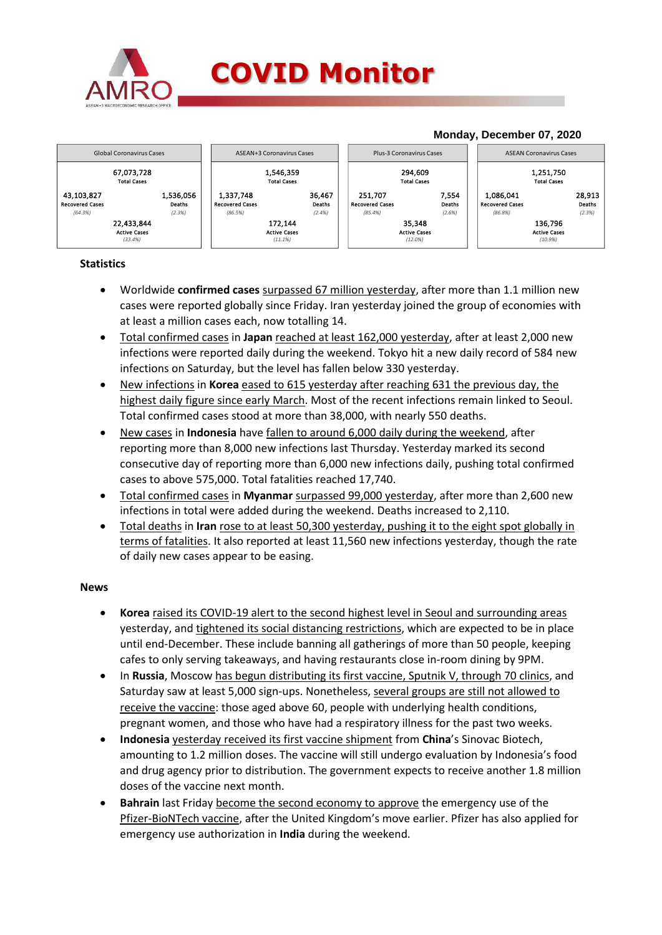



## **Statistics**

- Worldwide **confirmed cases** surpassed 67 million yesterday, after more than 1.1 million new cases were reported globally since Friday. Iran yesterday joined the group of economies with at least a million cases each, now totalling 14.
- Total confirmed cases in **Japan** reached at least 162,000 yesterday, after at least 2,000 new infections were reported daily during the weekend. Tokyo hit a new daily record of 584 new infections on Saturday, but the level has fallen below 330 yesterday.
- New infections in **Korea** eased to 615 yesterday after reaching 631 the previous day, the highest daily figure since early March. Most of the recent infections remain linked to Seoul. Total confirmed cases stood at more than 38,000, with nearly 550 deaths.
- New cases in **Indonesia** have fallen to around 6,000 daily during the weekend, after reporting more than 8,000 new infections last Thursday. Yesterday marked its second consecutive day of reporting more than 6,000 new infections daily, pushing total confirmed cases to above 575,000. Total fatalities reached 17,740.
- Total confirmed cases in **Myanmar** surpassed 99,000 yesterday, after more than 2,600 new infections in total were added during the weekend. Deaths increased to 2,110.
- Total deaths in **Iran** rose to at least 50,300 yesterday, pushing it to the eight spot globally in terms of fatalities. It also reported at least 11,560 new infections yesterday, though the rate of daily new cases appear to be easing.

## **News**

- **Korea** raised its COVID-19 alert to the second highest level in Seoul and surrounding areas yesterday, and tightened its social distancing restrictions, which are expected to be in place until end-December. These include banning all gatherings of more than 50 people, keeping cafes to only serving takeaways, and having restaurants close in-room dining by 9PM.
- In **Russia**, Moscow has begun distributing its first vaccine, Sputnik V, through 70 clinics, and Saturday saw at least 5,000 sign-ups. Nonetheless, several groups are still not allowed to receive the vaccine: those aged above 60, people with underlying health conditions, pregnant women, and those who have had a respiratory illness for the past two weeks.
- **Indonesia** yesterday received its first vaccine shipment from **China**'s Sinovac Biotech, amounting to 1.2 million doses. The vaccine will still undergo evaluation by Indonesia's food and drug agency prior to distribution. The government expects to receive another 1.8 million doses of the vaccine next month.
- **Bahrain** last Friday become the second economy to approve the emergency use of the Pfizer-BioNTech vaccine, after the United Kingdom's move earlier. Pfizer has also applied for emergency use authorization in **India** during the weekend.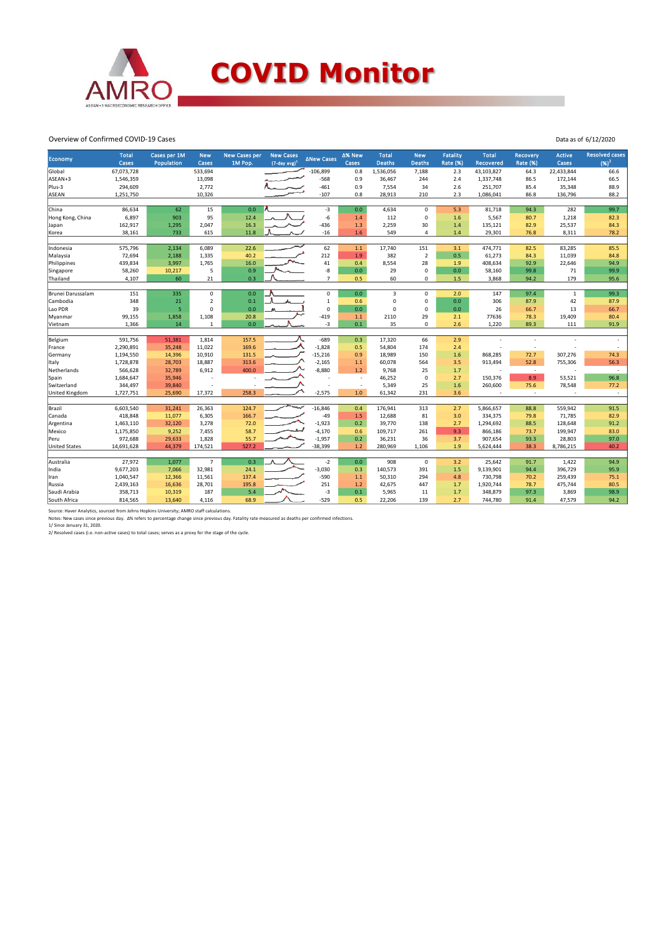

## **COVID Monitor**

Data as of 6/12/2020

Overview of Confirmed COVID-19 Cases

| Economy              | <b>Total</b><br><b>Cases</b> | Cases per 1M<br><b>Population</b> | <b>New</b><br>Cases | <b>New Cases per</b><br>1M Pop. | <b>New Cases</b><br>$(7$ -day avg) <sup>1</sup> | ∆New Cases     | Δ% New<br>Cases          | <b>Total</b><br><b>Deaths</b> | <b>New</b><br><b>Deaths</b> | <b>Fatality</b><br><b>Rate (%)</b> | <b>Total</b><br><b>Recovered</b> | Recovery<br><b>Rate (%)</b> | <b>Active</b><br>Cases | <b>Resolved cases</b><br>$(96)^2$ |
|----------------------|------------------------------|-----------------------------------|---------------------|---------------------------------|-------------------------------------------------|----------------|--------------------------|-------------------------------|-----------------------------|------------------------------------|----------------------------------|-----------------------------|------------------------|-----------------------------------|
| Global               | 67,073,728                   |                                   | 533,694             |                                 |                                                 | $-106,899$     | 0.8                      | 1,536,056                     | 7,188                       | 2.3                                | 43,103,827                       | 64.3                        | 22,433,844             | 66.6                              |
| ASEAN+3              | 1,546,359                    |                                   | 13,098              |                                 |                                                 | $-568$         | 0.9                      | 36,467                        | 244                         | 2.4                                | 1,337,748                        | 86.5                        | 172,144                | 66.5                              |
| Plus-3               | 294,609                      |                                   | 2,772               |                                 |                                                 | $-461$         | 0.9                      | 7,554                         | 34                          | 2.6                                | 251,707                          | 85.4                        | 35,348                 | 88.9                              |
| <b>ASEAN</b>         | 1,251,750                    |                                   | 10,326              |                                 |                                                 | $-107$         | 0.8                      | 28,913                        | 210                         | 2.3                                | 1,086,041                        | 86.8                        | 136,796                | 88.2                              |
|                      |                              |                                   |                     |                                 |                                                 |                |                          |                               |                             |                                    |                                  |                             |                        |                                   |
| China                | 86,634                       | 62                                | 15                  | 0.0                             |                                                 | $-3$           | 0.0                      | 4,634                         | $\mathbf 0$                 | 5.3                                | 81,718                           | 94.3                        | 282                    | 99.7                              |
| Hong Kong, China     | 6,897                        | 903                               | 95                  | 12.4                            |                                                 | $-6$           | 1.4                      | 112                           | $\mathbf 0$                 | 1.6                                | 5,567                            | 80.7                        | 1,218                  | 82.3                              |
| Japan                | 162,917                      | 1,295                             | 2,047               | 16.3                            |                                                 | $-436$         | 1.3                      | 2,259                         | 30                          | 1.4                                | 135,121                          | 82.9                        | 25,537                 | 84.3                              |
| Korea                | 38,161                       | 733                               | 615                 | 11.8                            |                                                 | $-16$          | 1.6                      | 549                           | $\overline{4}$              | 1.4                                | 29,301                           | 76.8                        | 8,311                  | 78.2                              |
|                      |                              |                                   |                     |                                 |                                                 |                |                          |                               |                             |                                    |                                  |                             |                        |                                   |
| Indonesia            | 575,796                      | 2,134                             | 6,089               | 22.6                            |                                                 | 62             | $1.1$                    | 17,740                        | 151                         | 3.1                                | 474,771                          | 82.5                        | 83,285                 | 85.5                              |
| Malaysia             | 72,694                       | 2,188                             | 1,335               | 40.2                            |                                                 | 212            | 1.9                      | 382                           | $\overline{2}$              | 0.5                                | 61,273                           | 84.3                        | 11,039                 | 84.8                              |
| Philippines          | 439,834                      | 3,997                             | 1,765               | 16.0                            |                                                 | 41             | 0.4                      | 8,554                         | 28                          | 1.9                                | 408,634                          | 92.9                        | 22,646                 | 94.9                              |
| Singapore            | 58,260                       | 10,217                            | 5                   | 0.9                             |                                                 | -8             | 0.0                      | 29                            | $\mathbf 0$                 | 0.0                                | 58,160                           | 99.8                        | 71                     | 99.9                              |
| Thailand             | 4,107                        | 60                                | 21                  | 0.3                             |                                                 | $\overline{7}$ | 0.5                      | 60                            | 0                           | 1.5                                | 3,868                            | 94.2                        | 179                    | 95.6                              |
|                      |                              |                                   |                     |                                 |                                                 |                | 0.0                      |                               |                             |                                    |                                  |                             |                        | 99.3                              |
| Brunei Darussalam    | 151                          | 335                               | 0                   | 0.0                             |                                                 | 0              |                          | 3                             | 0                           | 2.0                                | 147                              | 97.4                        | $\mathbf{1}$           |                                   |
| Cambodia             | 348                          | 21                                | $\overline{2}$      | 0.1                             |                                                 | $\mathbf 1$    | 0.6                      | $\mathbf 0$<br>$\Omega$       | $\mathbf 0$                 | 0.0                                | 306                              | 87.9                        | 42                     | 87.9                              |
| Lao PDR              | 39                           | 5                                 | 0                   | 0.0                             |                                                 | $\mathbf 0$    | $0.0\,$                  |                               | 0                           | 0.0                                | 26                               | 66.7                        | 13                     | 66.7                              |
| Myanmar              | 99,155                       | 1,858                             | 1,108               | 20.8                            |                                                 | $-419$         | 1.1                      | 2110                          | 29                          | 2.1                                | 77636                            | 78.3                        | 19,409                 | 80.4                              |
| Vietnam              | 1,366                        | 14                                | $\mathbf{1}$        | 0.0                             |                                                 | $-3$           | 0.1                      | 35                            | $\mathbf 0$                 | 2.6                                | 1,220                            | 89.3                        | 111                    | 91.9                              |
| Belgium              | 591,756                      | 51,381                            | 1,814               | 157.5                           |                                                 | $-689$         | 0.3                      | 17,320                        | 66                          | 2.9                                |                                  |                             |                        |                                   |
| France               | 2,290,891                    | 35,248                            | 11,022              | 169.6                           |                                                 | $-1,828$       | 0.5                      | 54,804                        | 174                         | 2.4                                |                                  | ÷                           |                        |                                   |
| Germany              | 1,194,550                    | 14,396                            | 10,910              | 131.5                           |                                                 | $-15,216$      | 0.9                      | 18,989                        | 150                         | 1.6                                | 868,285                          | 72.7                        | 307,276                | 74.3                              |
| Italy                | 1,728,878                    | 28,703                            | 18,887              | 313.6                           |                                                 | $-2,165$       | 1.1                      | 60,078                        | 564                         | 3.5                                | 913,494                          | 52.8                        | 755,306                | 56.3                              |
| Netherlands          | 566,628                      | 32,789                            | 6,912               | 400.0                           |                                                 | $-8,880$       | 1.2                      | 9,768                         | 25                          | 1.7                                |                                  | $\sim$                      |                        | $\sim$                            |
| Spain                | 1,684,647                    | 35,946                            |                     |                                 |                                                 |                | $\overline{\phantom{a}}$ | 46,252                        | 0                           | 2.7                                | 150,376                          | 8.9                         | 53,521                 | 96.8                              |
| Switzerland          | 344,497                      | 39,840                            |                     |                                 |                                                 |                | ÷.                       | 5,349                         | 25                          | 1.6                                | 260,600                          | 75.6                        | 78,548                 | 77.2                              |
| United Kingdom       | 1,727,751                    | 25,690                            | 17,372              | 258.3                           |                                                 | $-2,575$       | 1.0                      | 61,342                        | 231                         | 3.6                                |                                  | $\sim$                      |                        | $\sim$                            |
|                      |                              |                                   |                     |                                 |                                                 |                |                          |                               |                             |                                    |                                  |                             |                        |                                   |
| Brazil               | 6,603,540                    | 31,241                            | 26,363              | 124.7                           | سمسته                                           | $-16,846$      | 0.4                      | 176,941                       | 313                         | 2.7                                | 5,866,657                        | 88.8                        | 559,942                | 91.5                              |
| Canada               | 418,848                      | 11,077                            | 6,305               | 166.7                           |                                                 | $-49$          | 1.5                      | 12,688                        | 81                          | 3.0                                | 334,375                          | 79.8                        | 71,785                 | 82.9                              |
| Argentina            | 1,463,110                    | 32,120                            | 3,278               | 72.0                            |                                                 | $-1,923$       | 0.2                      | 39,770                        | 138                         | 2.7                                | 1,294,692                        | 88.5                        | 128,648                | 91.2                              |
| Mexico               | 1,175,850                    | 9,252                             | 7,455               | 58.7                            |                                                 | $-4,170$       | 0.6                      | 109,717                       | 261                         | 9.3                                | 866,186                          | 73.7                        | 199,947                | 83.0                              |
| Peru                 | 972,688                      | 29,633                            | 1,828               | 55.7                            |                                                 | $-1,957$       | 0.2                      | 36,231                        | 36                          | 3.7                                | 907,654                          | 93.3                        | 28,803                 | 97.0                              |
| <b>United States</b> | 14,691,628                   | 44,379                            | 174,521             | 527.2                           |                                                 | $-38,399$      | 1.2                      | 280,969                       | 1,106                       | 1.9                                | 5,624,444                        | 38.3                        | 8,786,215              | 40.2                              |
|                      |                              |                                   |                     |                                 |                                                 |                |                          |                               |                             |                                    |                                  |                             |                        |                                   |
| Australia            | 27,972                       | 1,077                             | $\overline{7}$      | 0.3                             |                                                 | $-2$           | 0.0                      | 908                           | $\mathbf 0$                 | 3.2                                | 25,642                           | 91.7                        | 1,422                  | 94.9                              |
| India                | 9,677,203                    | 7,066                             | 32,981              | 24.1                            |                                                 | $-3,030$       | 0.3                      | 140,573                       | 391                         | 1.5                                | 9,139,901                        | 94.4                        | 396,729                | 95.9                              |
| Iran                 | 1,040,547                    | 12,366                            | 11,561              | 137.4                           |                                                 | $-590$         | 1.1                      | 50,310                        | 294                         | 4.8                                | 730,798                          | 70.2                        | 259,439                | 75.1                              |
| Russia               | 2,439,163                    | 16,636                            | 28,701              | 195.8                           |                                                 | 251            | 1.2                      | 42,675                        | 447                         | 1.7                                | 1,920,744                        | 78.7                        | 475,744                | 80.5                              |
| Saudi Arabia         | 358,713                      | 10,319                            | 187                 | 5.4                             |                                                 | $-3$           | 0.1                      | 5,965                         | 11                          | 1.7                                | 348,879                          | 97.3                        | 3,869                  | 98.9                              |
| South Africa         | 814,565                      | 13,640                            | 4,116               | 68.9                            |                                                 | $-529$         | 0.5                      | 22,206                        | 139                         | 2.7                                | 744,780                          | 91.4                        | 47,579                 | 94.2                              |

Source: Haver Analytics, sourced from Johns Hopkins University; AMRO staff calculations.<br>Notes: New cases since previous day. Δ% refers to percentage change since previous day. Fatality rate measured as deaths per confirm